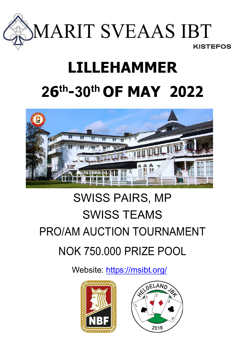

# LILLEHAMMER 26 th-30th OF MAY 2022



# SWISS PAIRS, MP SWISS TEAMS PRO/AM AUCTION TOURNAMENT NOK 750.000 PRIZE POOL

Website: https://msibt.org/



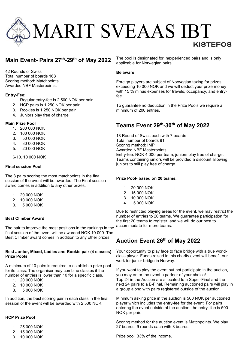# MARIT SVEAAS IBT

## Main Event- Pairs 27<sup>th</sup>-29<sup>th</sup> of May 2022

42 Rounds of Swiss Total number of boards 168 Scoring method: Matchpoints. Awarded NBF Masterpoints.

#### Entry-Fee:

- 1. Regular entry-fee is 2 500 NOK per pair
- 2. HCP pairs is 1 250 NOK per pair
- 3. Rookies is 1 250 NOK per pair
- 4. Juniors play free of charge

#### Main Prize Pool

- 1. 200 000 NOK
- 2. 100 000 NOK
- 3. 50 000 NOK
- 4. 30 000 NOK
- 5. 20 000 NOK
- 6-10. 10 000 NOK

#### Final session Pool

The 3 pairs scoring the most matchpoints in the final session of the event will be awarded. The Final session award comes in addition to any other prizes.

- 1. 20 000 NOK
- 2. 10 000 NOK
- 3. 5 000 NOK

#### Best Climber Award

The pair to improve the most positions in the rankings in the final session of the event will be awarded NOK 10 000. The Best Climber award comes in addition to any other prizes.

#### Best Junior, Mixed, Ladies and Rookie pair (4 classes) Prize Pools

A minimum of 10 pairs is required to establish a prize pool for its class. The organiser may combine classes if the number of entries is lower than 10 for a specific class.

- 1. 20 000 NOK
- 2. 10 000 NOK
- 3. 5 000 NOK

In addition, the best scoring pair in each class in the final session of the event will be awarded with 2 500 NOK.

#### HCP Prize Pool

- 1. 25 000 NOK
- 2. 15 000 NOK
- 3. 10 000 NOK

The pool is designated for inexperienced pairs and is only applicable for Norwegian pairs.

#### Be aware

Foreign players are subject of Norwegian taxing for prizes exceeding 10 000 NOK and we will deduct your prize money with 15 % minus expenses for travels, occupancy, and entryfee.

To guarantee no deduction in the Prize Pools we require a minimum of 200 entries.

## Teams Event 29th-30th of May 2022

13 Round of Swiss each with 7 boards Total number of boards 91 Scoring method: IMP Awarded NBF Masterpoints. Entry-fee: NOK 4 000 per team, juniors play free of charge. Teams containing juniors will be provided a discount allowing juniors to still play free of charge.

#### Prize Pool- based on 20 teams.

- 1. 20 000 NOK
- 2. 15 000 NOK
- 3. 10 000 NOK
- 4. 5 000 NOK

Due to restricted playing areas for the event, we may restrict the number of entries to 20 teams. We guarantee participation for the first 20 teams to register, and we will do our best to accommodate for more teams.

### Auction Event 26th of May 2022

Your opportunity to play face to face bridge with a true worldclass player. Funds raised in this charity event will benefit our work for junior bridge in Norway.

If you want to play the event but not participate in the auction, you may enter the event a partner of your choice! Top 24 in the Auction are allocated to a Super-Final and the next 24 pairs to a B-Final. Remaining auctioned pairs will play in a group along with pairs registered outside of the auction.

Minimum asking price in the auction is 500 NOK per auctioned player which includes the entry-fee for the event. For pairs entering the event outside of the auction, the entry- fee is 500 NOK per pair.

Scoring method for the auction event is Matchpoints. We play 27 boards, 9 rounds each with 3 boards.

Prize pool: 33% of the income.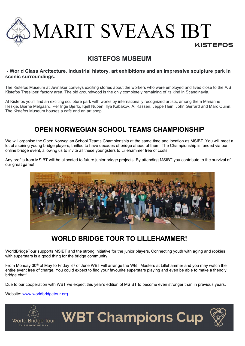

# KISTEFOS MUSEUM

#### - World Class Arcitecture, industrial history, art exhibitions and an impressive sculpture park in scenic surroundings.

The Kistefos Museum at Jevnaker conveys exciting stories about the workers who were employed and lived close to the A/S Kistefos Træsliperi factory area. The old groundwood is the only completely remaining of its kind in Scandinavia.

At Kistefos you'll find an exciting sculpture park with works by internationally recognized artists, among them Marianne Heskie. Biarne Melgaard, Per Inge Biørlo, Kiell Nupen, Ilya Kabakov, A. Kassen, Jeppe Hein, John Gerrard and Marc Quinn. The Kistefos Museum houses a café and an art shop.

# OPEN NORWEGIAN SCHOOL TEAMS CHAMPIONSHIP

We will organise the Open Norwegian School Teams Championship at the same time and location as MSIBT. You will meet a lot of aspiring young bridge players, thrilled to have decades of bridge ahead of them. The Championship is funded via our online bridge event, allowing us to invite all these youngsters to Lillehammer free of costs.

Any profits from MSIBT will be allocated to future junior bridge projects. By attending MSIBT you contribute to the survival of our great game!



# WORLD BRIDGE TOUR TO LILLEHAMMER!

WorldBridgeTour supports MSIBT and the strong initiative for the junior players. Connecting youth with aging and rookies with superstars is a good thing for the bridge community.

From Monday 30th of May to Friday 3rd of June WBT will arrange the WBT Masters at Lillehammer and you may watch the entire event free of charge. You could expect to find your favourite superstars playing and even be able to make a friendly bridge chat!

Due to our cooperation with WBT we expect this year's edition of MSIBT to become even stronger than in previous years.

Website: www.worldbridgetour.org